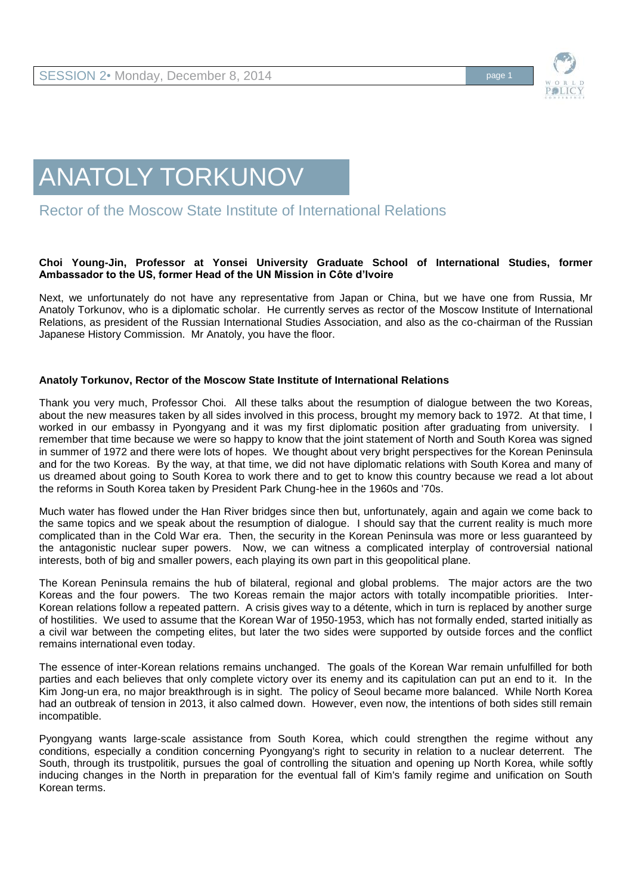



Rector of the Moscow State Institute of International Relations

## **Choi Young-Jin, Professor at Yonsei University Graduate School of International Studies, former Ambassador to the US, former Head of the UN Mission in Côte d'Ivoire**

Next, we unfortunately do not have any representative from Japan or China, but we have one from Russia, Mr Anatoly Torkunov, who is a diplomatic scholar. He currently serves as rector of the Moscow Institute of International Relations, as president of the Russian International Studies Association, and also as the co-chairman of the Russian Japanese History Commission. Mr Anatoly, you have the floor.

## **Anatoly Torkunov, Rector of the Moscow State Institute of International Relations**

Thank you very much, Professor Choi. All these talks about the resumption of dialogue between the two Koreas, about the new measures taken by all sides involved in this process, brought my memory back to 1972. At that time, I worked in our embassy in Pyongyang and it was my first diplomatic position after graduating from university. I remember that time because we were so happy to know that the joint statement of North and South Korea was signed in summer of 1972 and there were lots of hopes. We thought about very bright perspectives for the Korean Peninsula and for the two Koreas. By the way, at that time, we did not have diplomatic relations with South Korea and many of us dreamed about going to South Korea to work there and to get to know this country because we read a lot about the reforms in South Korea taken by President Park Chung-hee in the 1960s and '70s.

Much water has flowed under the Han River bridges since then but, unfortunately, again and again we come back to the same topics and we speak about the resumption of dialogue. I should say that the current reality is much more complicated than in the Cold War era. Then, the security in the Korean Peninsula was more or less guaranteed by the antagonistic nuclear super powers. Now, we can witness a complicated interplay of controversial national interests, both of big and smaller powers, each playing its own part in this geopolitical plane.

The Korean Peninsula remains the hub of bilateral, regional and global problems. The major actors are the two Koreas and the four powers. The two Koreas remain the major actors with totally incompatible priorities. Inter-Korean relations follow a repeated pattern. A crisis gives way to a détente, which in turn is replaced by another surge of hostilities. We used to assume that the Korean War of 1950-1953, which has not formally ended, started initially as a civil war between the competing elites, but later the two sides were supported by outside forces and the conflict remains international even today.

The essence of inter-Korean relations remains unchanged. The goals of the Korean War remain unfulfilled for both parties and each believes that only complete victory over its enemy and its capitulation can put an end to it. In the Kim Jong-un era, no major breakthrough is in sight. The policy of Seoul became more balanced. While North Korea had an outbreak of tension in 2013, it also calmed down. However, even now, the intentions of both sides still remain incompatible.

Pyongyang wants large-scale assistance from South Korea, which could strengthen the regime without any conditions, especially a condition concerning Pyongyang's right to security in relation to a nuclear deterrent. The South, through its trustpolitik, pursues the goal of controlling the situation and opening up North Korea, while softly inducing changes in the North in preparation for the eventual fall of Kim's family regime and unification on South Korean terms.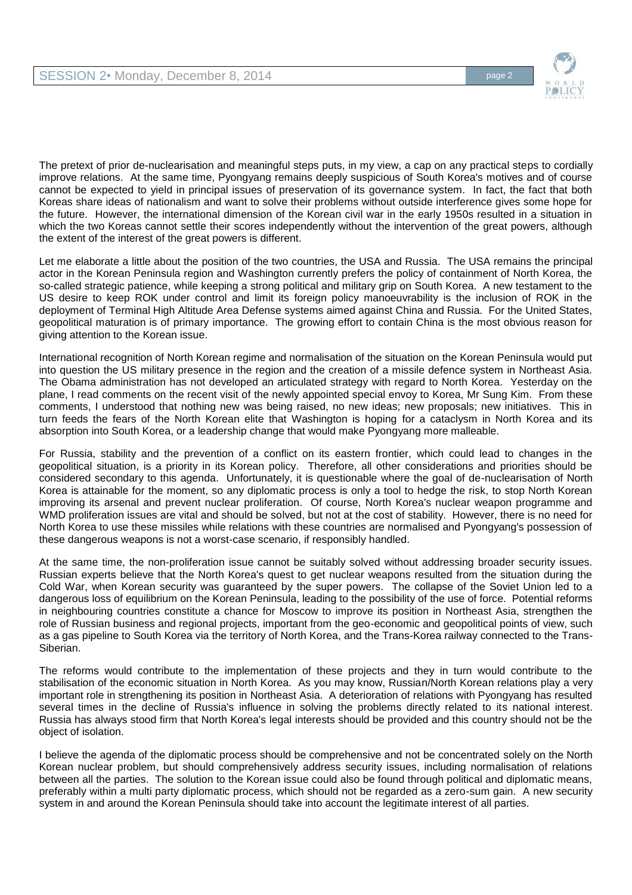

The pretext of prior de-nuclearisation and meaningful steps puts, in my view, a cap on any practical steps to cordially improve relations. At the same time, Pyongyang remains deeply suspicious of South Korea's motives and of course cannot be expected to yield in principal issues of preservation of its governance system. In fact, the fact that both Koreas share ideas of nationalism and want to solve their problems without outside interference gives some hope for the future. However, the international dimension of the Korean civil war in the early 1950s resulted in a situation in which the two Koreas cannot settle their scores independently without the intervention of the great powers, although the extent of the interest of the great powers is different.

Let me elaborate a little about the position of the two countries, the USA and Russia. The USA remains the principal actor in the Korean Peninsula region and Washington currently prefers the policy of containment of North Korea, the so-called strategic patience, while keeping a strong political and military grip on South Korea. A new testament to the US desire to keep ROK under control and limit its foreign policy manoeuvrability is the inclusion of ROK in the deployment of Terminal High Altitude Area Defense systems aimed against China and Russia. For the United States, geopolitical maturation is of primary importance. The growing effort to contain China is the most obvious reason for giving attention to the Korean issue.

International recognition of North Korean regime and normalisation of the situation on the Korean Peninsula would put into question the US military presence in the region and the creation of a missile defence system in Northeast Asia. The Obama administration has not developed an articulated strategy with regard to North Korea. Yesterday on the plane, I read comments on the recent visit of the newly appointed special envoy to Korea, Mr Sung Kim. From these comments, I understood that nothing new was being raised, no new ideas; new proposals; new initiatives. This in turn feeds the fears of the North Korean elite that Washington is hoping for a cataclysm in North Korea and its absorption into South Korea, or a leadership change that would make Pyongyang more malleable.

For Russia, stability and the prevention of a conflict on its eastern frontier, which could lead to changes in the geopolitical situation, is a priority in its Korean policy. Therefore, all other considerations and priorities should be considered secondary to this agenda. Unfortunately, it is questionable where the goal of de-nuclearisation of North Korea is attainable for the moment, so any diplomatic process is only a tool to hedge the risk, to stop North Korean improving its arsenal and prevent nuclear proliferation. Of course, North Korea's nuclear weapon programme and WMD proliferation issues are vital and should be solved, but not at the cost of stability. However, there is no need for North Korea to use these missiles while relations with these countries are normalised and Pyongyang's possession of these dangerous weapons is not a worst-case scenario, if responsibly handled.

At the same time, the non-proliferation issue cannot be suitably solved without addressing broader security issues. Russian experts believe that the North Korea's quest to get nuclear weapons resulted from the situation during the Cold War, when Korean security was guaranteed by the super powers. The collapse of the Soviet Union led to a dangerous loss of equilibrium on the Korean Peninsula, leading to the possibility of the use of force. Potential reforms in neighbouring countries constitute a chance for Moscow to improve its position in Northeast Asia, strengthen the role of Russian business and regional projects, important from the geo-economic and geopolitical points of view, such as a gas pipeline to South Korea via the territory of North Korea, and the Trans-Korea railway connected to the Trans-Siberian.

The reforms would contribute to the implementation of these projects and they in turn would contribute to the stabilisation of the economic situation in North Korea. As you may know, Russian/North Korean relations play a very important role in strengthening its position in Northeast Asia. A deterioration of relations with Pyongyang has resulted several times in the decline of Russia's influence in solving the problems directly related to its national interest. Russia has always stood firm that North Korea's legal interests should be provided and this country should not be the object of isolation.

I believe the agenda of the diplomatic process should be comprehensive and not be concentrated solely on the North Korean nuclear problem, but should comprehensively address security issues, including normalisation of relations between all the parties. The solution to the Korean issue could also be found through political and diplomatic means, preferably within a multi party diplomatic process, which should not be regarded as a zero-sum gain. A new security system in and around the Korean Peninsula should take into account the legitimate interest of all parties.